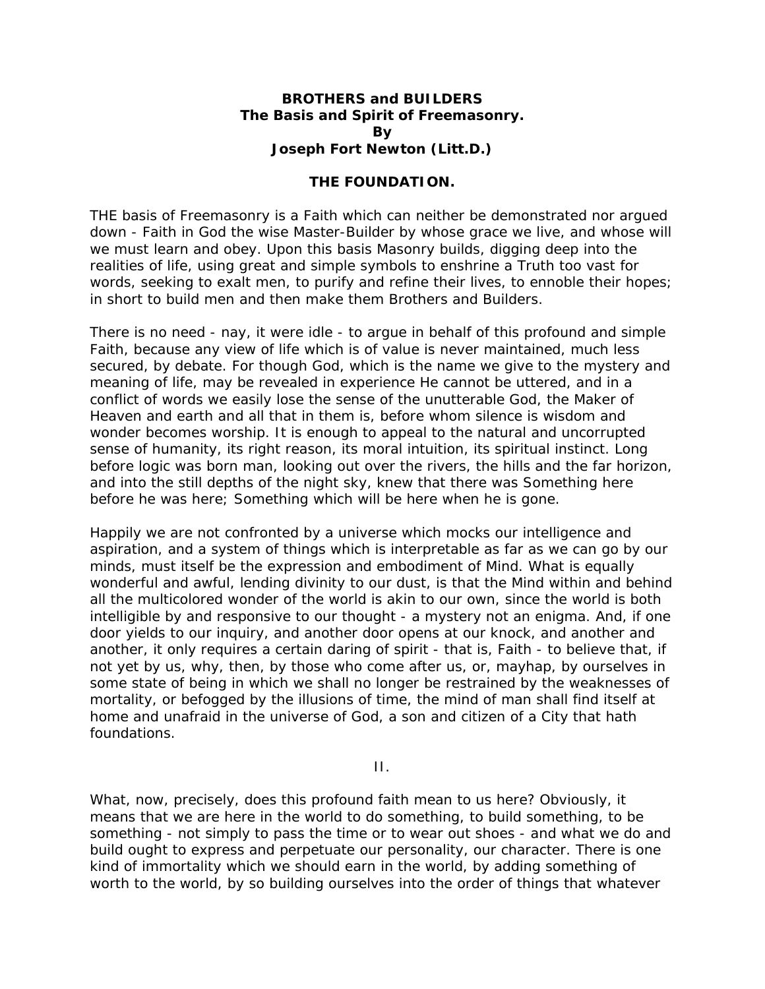## **BROTHERS and BUILDERS The Basis and Spirit of Freemasonry. By Joseph Fort Newton (Litt.D.)**

## **THE FOUNDATION.**

THE basis of Freemasonry is a Faith which can neither be demonstrated nor argued down - Faith in God the wise Master-Builder by whose grace we live, and whose will we must learn and obey. Upon this basis Masonry builds, digging deep into the realities of life, using great and simple symbols to enshrine a Truth too vast for words, seeking to exalt men, to purify and refine their lives, to ennoble their hopes; in short to build men and then make them Brothers and Builders.

There is no need - nay, it were idle - to argue in behalf of this profound and simple Faith, because any view of life which is of value is never maintained, much less secured, by debate. For though God, which is the name we give to the mystery and meaning of life, may be revealed in experience He cannot be uttered, and in a conflict of words we easily lose the sense of the unutterable God, the Maker of Heaven and earth and all that in them is, before whom silence is wisdom and wonder becomes worship. It is enough to appeal to the natural and uncorrupted sense of humanity, its right reason, its moral intuition, its spiritual instinct. Long before logic was born man, looking out over the rivers, the hills and the far horizon, and into the still depths of the night sky, knew that there was Something here before he was here; Something which will be here when he is gone.

Happily we are not confronted by a universe which mocks our intelligence and aspiration, and a system of things which is interpretable as far as we can go by our minds, must itself be the expression and embodiment of Mind. What is equally wonderful and awful, lending divinity to our dust, is that the Mind within and behind all the multicolored wonder of the world is akin to our own, since the world is both intelligible by and responsive to our thought - a mystery not an enigma. And, if one door yields to our inquiry, and another door opens at our knock, and another and another, it only requires a certain daring of spirit - that is, Faith - to believe that, if not yet by us, why, then, by those who come after us, or, mayhap, by ourselves in some state of being in which we shall no longer be restrained by the weaknesses of mortality, or befogged by the illusions of time, the mind of man shall find itself at home and unafraid in the universe of God, a son and citizen of a City that hath foundations.

II.

What, now, precisely, does this profound faith mean to us here? Obviously, it means that we are here in the world to do something, to build something, to be something - not simply to pass the time or to wear out shoes - and what we do and build ought to express and perpetuate our personality, our character. There is one kind of immortality which we should earn in the world, by adding something of worth to the world, by so building ourselves into the order of things that whatever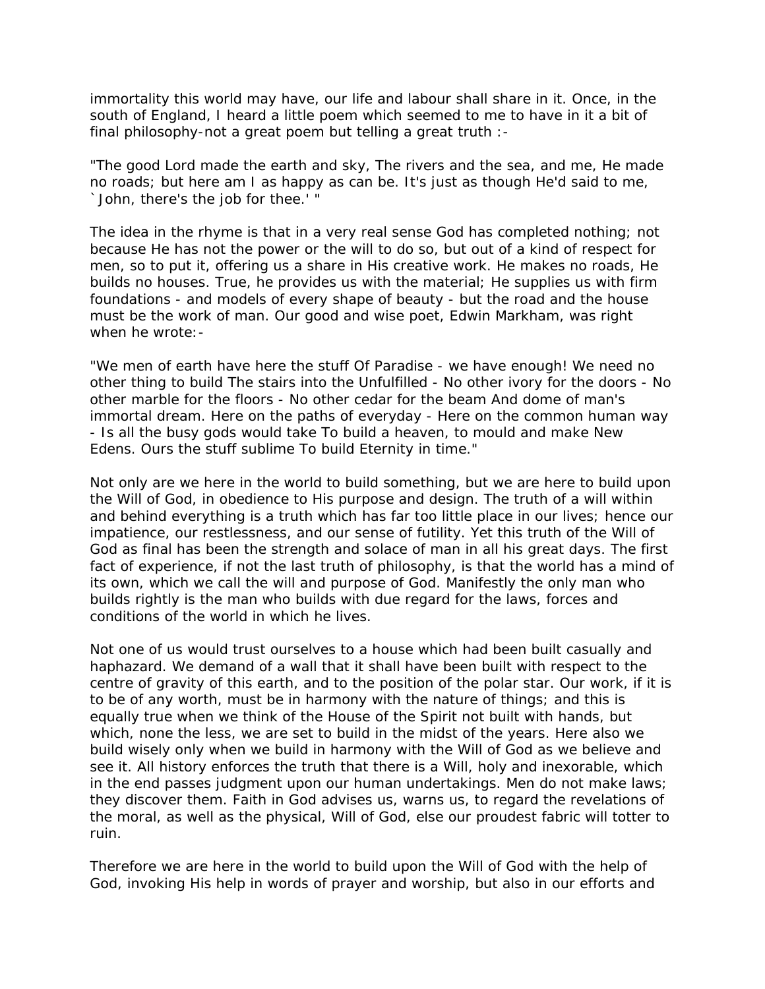immortality this world may have, our life and labour shall share in it. Once, in the south of England, I heard a little poem which seemed to me to have in it a bit of final philosophy-not a great poem but telling a great truth :-

"The good Lord made the earth and sky, The rivers and the sea, and me, He made no roads; but here am I as happy as can be. It's just as though He'd said to me, `John, there's the job for thee.' "

The idea in the rhyme is that in a very real sense God has completed nothing; not because He has not the power or the will to do so, but out of a kind of respect for men, so to put it, offering us a share in His creative work. He makes no roads, He builds no houses. True, he provides us with the material; He supplies us with firm foundations - and models of every shape of beauty - but the road and the house must be the work of man. Our good and wise poet, Edwin Markham, was right when he wrote:-

"We men of earth have here the stuff Of Paradise - we have enough! We need no other thing to build The stairs into the Unfulfilled - No other ivory for the doors - No other marble for the floors - No other cedar for the beam And dome of man's immortal dream. Here on the paths of everyday - Here on the common human way - Is all the busy gods would take To build a heaven, to mould and make New Edens. Ours the stuff sublime To build Eternity in time."

Not only are we here in the world to build something, but we are here to build upon the Will of God, in obedience to His purpose and design. The truth of a will within and behind everything is a truth which has far too little place in our lives; hence our impatience, our restlessness, and our sense of futility. Yet this truth of the Will of God as final has been the strength and solace of man in all his great days. The first fact of experience, if not the last truth of philosophy, is that the world has a mind of its own, which we call the will and purpose of God. Manifestly the only man who builds rightly is the man who builds with due regard for the laws, forces and conditions of the world in which he lives.

Not one of us would trust ourselves to a house which had been built casually and haphazard. We demand of a wall that it shall have been built with respect to the centre of gravity of this earth, and to the position of the polar star. Our work, if it is to be of any worth, must be in harmony with the nature of things; and this is equally true when we think of the House of the Spirit not built with hands, but which, none the less, we are set to build in the midst of the years. Here also we build wisely only when we build in harmony with the Will of God as we believe and see it. All history enforces the truth that there is a Will, holy and inexorable, which in the end passes judgment upon our human undertakings. Men do not make laws; they discover them. Faith in God advises us, warns us, to regard the revelations of the moral, as well as the physical, Will of God, else our proudest fabric will totter to ruin.

Therefore we are here in the world to build upon the Will of God with the help of God, invoking His help in words of prayer and worship, but also in our efforts and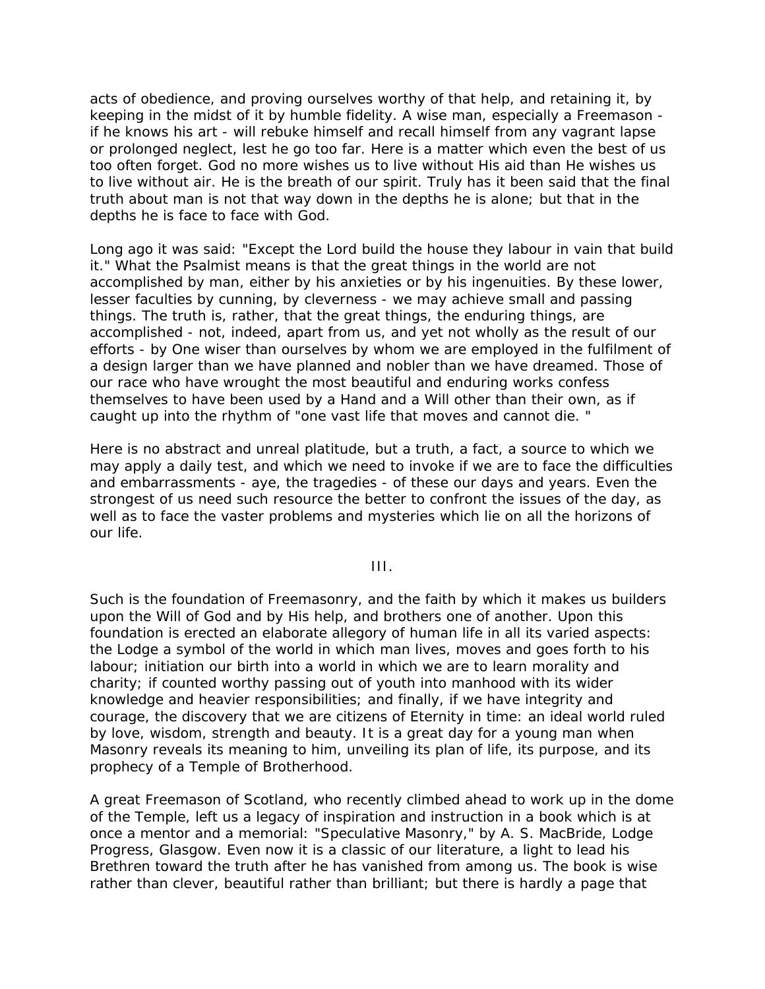acts of obedience, and proving ourselves worthy of that help, and retaining it, by keeping in the midst of it by humble fidelity. A wise man, especially a Freemason if he knows his art - will rebuke himself and recall himself from any vagrant lapse or prolonged neglect, lest he go too far. Here is a matter which even the best of us too often forget. God no more wishes us to live without His aid than He wishes us to live without air. He is the breath of our spirit. Truly has it been said that the final truth about man is not that way down in the depths he is alone; but that in the depths he is face to face with God.

Long ago it was said: "Except the Lord build the house they labour in vain that build it." What the Psalmist means is that the great things in the world are not accomplished by man, either by his anxieties or by his ingenuities. By these lower, lesser faculties by cunning, by cleverness - we may achieve small and passing things. The truth is, rather, that the great things, the enduring things, are accomplished - not, indeed, apart from us, and yet not wholly as the result of our efforts - by One wiser than ourselves by whom we are employed in the fulfilment of a design larger than we have planned and nobler than we have dreamed. Those of our race who have wrought the most beautiful and enduring works confess themselves to have been used by a Hand and a Will other than their own, as if caught up into the rhythm of "one vast life that moves and cannot die. "

Here is no abstract and unreal platitude, but a truth, a fact, a source to which we may apply a daily test, and which we need to invoke if we are to face the difficulties and embarrassments - aye, the tragedies - of these our days and years. Even the strongest of us need such resource the better to confront the issues of the day, as well as to face the vaster problems and mysteries which lie on all the horizons of our life.

III.

Such is the foundation of Freemasonry, and the faith by which it makes us builders upon the Will of God and by His help, and brothers one of another. Upon this foundation is erected an elaborate allegory of human life in all its varied aspects: the Lodge a symbol of the world in which man lives, moves and goes forth to his labour; initiation our birth into a world in which we are to learn morality and charity; if counted worthy passing out of youth into manhood with its wider knowledge and heavier responsibilities; and finally, if we have integrity and courage, the discovery that we are citizens of Eternity in time: an ideal world ruled by love, wisdom, strength and beauty. It is a great day for a young man when Masonry reveals its meaning to him, unveiling its plan of life, its purpose, and its prophecy of a Temple of Brotherhood.

A great Freemason of Scotland, who recently climbed ahead to work up in the dome of the Temple, left us a legacy of inspiration and instruction in a book which is at once a mentor and a memorial: "Speculative Masonry," by A. S. MacBride, Lodge Progress, Glasgow. Even now it is a classic of our literature, a light to lead his Brethren toward the truth after he has vanished from among us. The book is wise rather than clever, beautiful rather than brilliant; but there is hardly a page that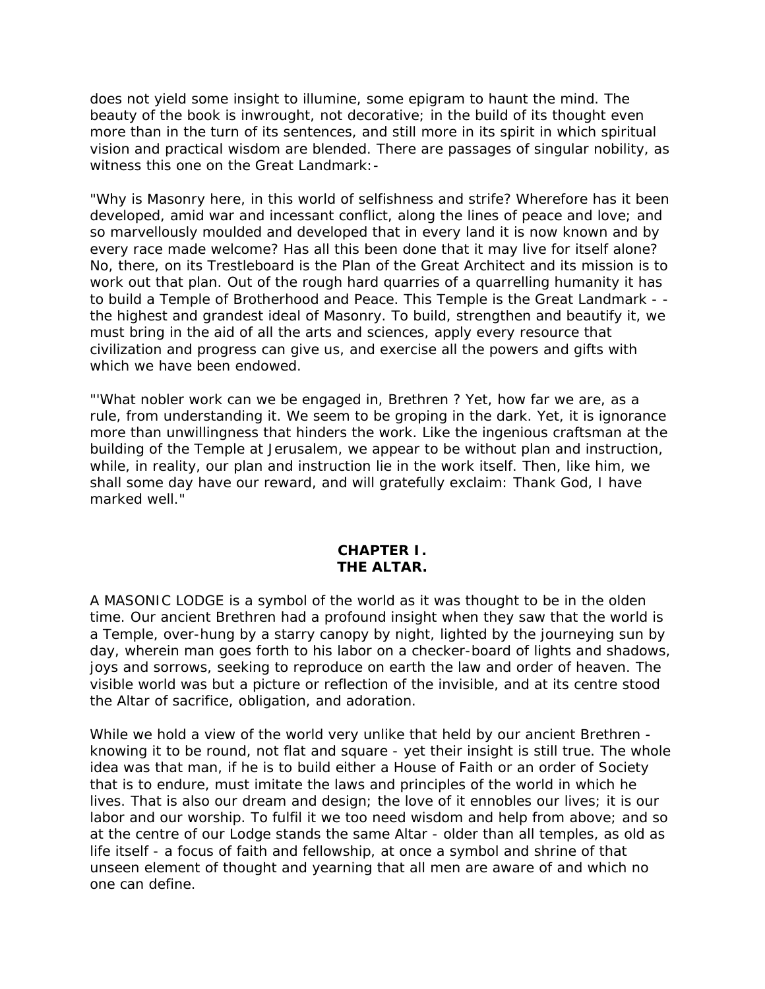does not yield some insight to illumine, some epigram to haunt the mind. The beauty of the book is inwrought, not decorative; in the build of its thought even more than in the turn of its sentences, and still more in its spirit in which spiritual vision and practical wisdom are blended. There are passages of singular nobility, as witness this one on the Great Landmark:-

"Why is Masonry here, in this world of selfishness and strife? Wherefore has it been developed, amid war and incessant conflict, along the lines of peace and love; and so marvellously moulded and developed that in every land it is now known and by every race made welcome? Has all this been done that it may live for itself alone? No, there, on its Trestleboard is the Plan of the Great Architect and its mission is to work out that plan. Out of the rough hard quarries of a quarrelling humanity it has to build a Temple of Brotherhood and Peace. This Temple is the Great Landmark - the highest and grandest ideal of Masonry. To build, strengthen and beautify it, we must bring in the aid of all the arts and sciences, apply every resource that civilization and progress can give us, and exercise all the powers and gifts with which we have been endowed.

"'What nobler work can we be engaged in, Brethren ? Yet, how far we are, as a rule, from understanding it. We seem to be groping in the dark. Yet, it is ignorance more than unwillingness that hinders the work. Like the ingenious craftsman at the building of the Temple at Jerusalem, we appear to be without plan and instruction, while, in reality, our plan and instruction lie in the work itself. Then, like him, we shall some day have our reward, and will gratefully exclaim: Thank God, I have marked well."

## **CHAPTER I. THE ALTAR.**

A MASONIC LODGE is a symbol of the world as it was thought to be in the olden time. Our ancient Brethren had a profound insight when they saw that the world is a Temple, over-hung by a starry canopy by night, lighted by the journeying sun by day, wherein man goes forth to his labor on a checker-board of lights and shadows, joys and sorrows, seeking to reproduce on earth the law and order of heaven. The visible world was but a picture or reflection of the invisible, and at its centre stood the Altar of sacrifice, obligation, and adoration.

While we hold a view of the world very unlike that held by our ancient Brethren knowing it to be round, not flat and square - yet their insight is still true. The whole idea was that man, if he is to build either a House of Faith or an order of Society that is to endure, must imitate the laws and principles of the world in which he lives. That is also our dream and design; the love of it ennobles our lives; it is our labor and our worship. To fulfil it we too need wisdom and help from above; and so at the centre of our Lodge stands the same Altar - older than all temples, as old as life itself - a focus of faith and fellowship, at once a symbol and shrine of that unseen element of thought and yearning that all men are aware of and which no one can define.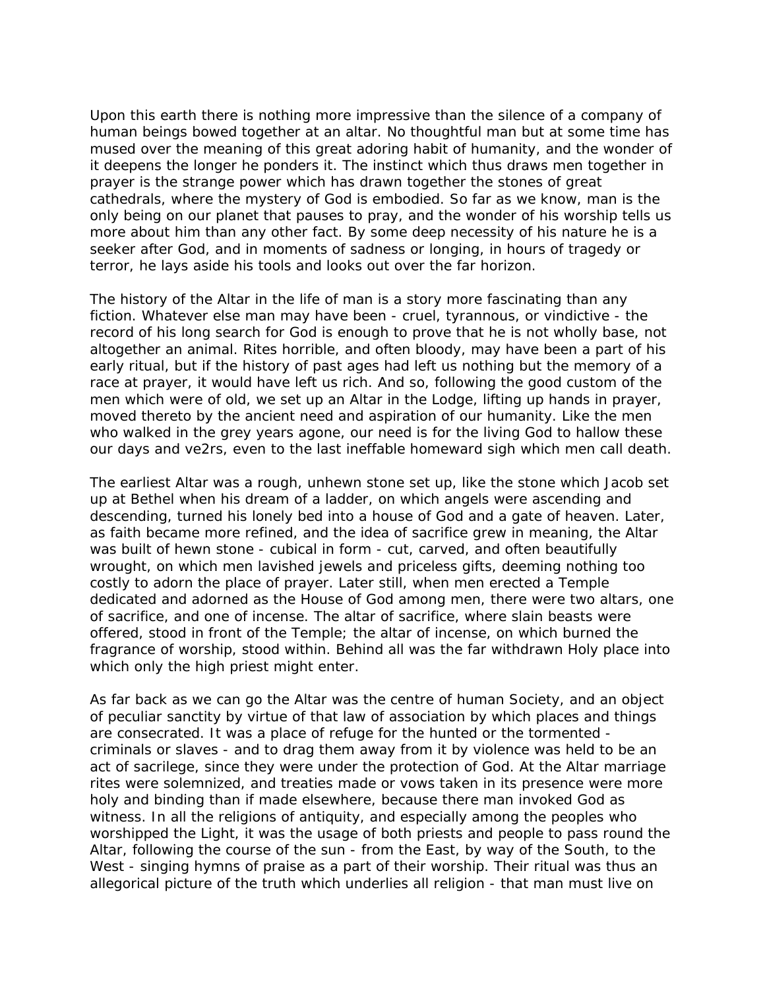Upon this earth there is nothing more impressive than the silence of a company of human beings bowed together at an altar. No thoughtful man but at some time has mused over the meaning of this great adoring habit of humanity, and the wonder of it deepens the longer he ponders it. The instinct which thus draws men together in prayer is the strange power which has drawn together the stones of great cathedrals, where the mystery of God is embodied. So far as we know, man is the only being on our planet that pauses to pray, and the wonder of his worship tells us more about him than any other fact. By some deep necessity of his nature he is a seeker after God, and in moments of sadness or longing, in hours of tragedy or terror, he lays aside his tools and looks out over the far horizon.

The history of the Altar in the life of man is a story more fascinating than any fiction. Whatever else man may have been - cruel, tyrannous, or vindictive - the record of his long search for God is enough to prove that he is not wholly base, not altogether an animal. Rites horrible, and often bloody, may have been a part of his early ritual, but if the history of past ages had left us nothing but the memory of a race at prayer, it would have left us rich. And so, following the good custom of the men which were of old, we set up an Altar in the Lodge, lifting up hands in prayer, moved thereto by the ancient need and aspiration of our humanity. Like the men who walked in the grey years agone, our need is for the living God to hallow these our days and ve2rs, even to the last ineffable homeward sigh which men call death.

The earliest Altar was a rough, unhewn stone set up, like the stone which Jacob set up at Bethel when his dream of a ladder, on which angels were ascending and descending, turned his lonely bed into a house of God and a gate of heaven. Later, as faith became more refined, and the idea of sacrifice grew in meaning, the Altar was built of hewn stone - cubical in form - cut, carved, and often beautifully wrought, on which men lavished jewels and priceless gifts, deeming nothing too costly to adorn the place of prayer. Later still, when men erected a Temple dedicated and adorned as the House of God among men, there were two altars, one of sacrifice, and one of incense. The altar of sacrifice, where slain beasts were offered, stood in front of the Temple; the altar of incense, on which burned the fragrance of worship, stood within. Behind all was the far withdrawn Holy place into which only the high priest might enter.

As far back as we can go the Altar was the centre of human Society, and an object of peculiar sanctity by virtue of that law of association by which places and things are consecrated. It was a place of refuge for the hunted or the tormented criminals or slaves - and to drag them away from it by violence was held to be an act of sacrilege, since they were under the protection of God. At the Altar marriage rites were solemnized, and treaties made or vows taken in its presence were more holy and binding than if made elsewhere, because there man invoked God as witness. In all the religions of antiquity, and especially among the peoples who worshipped the Light, it was the usage of both priests and people to pass round the Altar, following the course of the sun - from the East, by way of the South, to the West - singing hymns of praise as a part of their worship. Their ritual was thus an allegorical picture of the truth which underlies all religion - that man must live on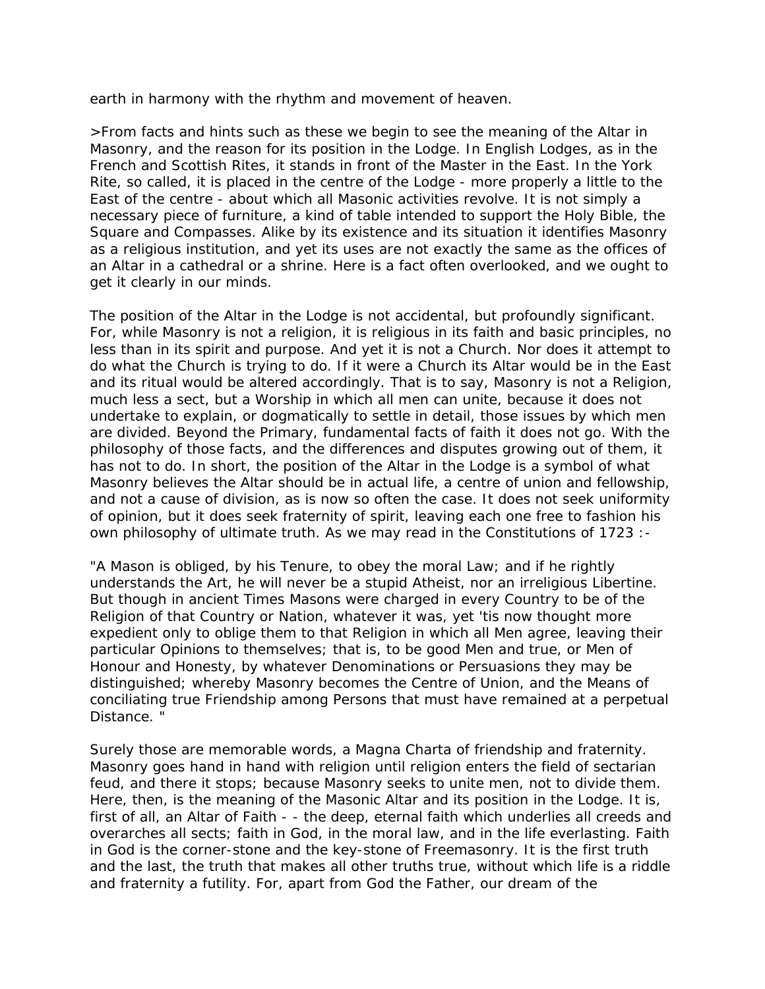earth in harmony with the rhythm and movement of heaven.

>From facts and hints such as these we begin to see the meaning of the Altar in Masonry, and the reason for its position in the Lodge. In English Lodges, as in the French and Scottish Rites, it stands in front of the Master in the East. In the York Rite, so called, it is placed in the centre of the Lodge - more properly a little to the East of the centre - about which all Masonic activities revolve. It is not simply a necessary piece of furniture, a kind of table intended to support the Holy Bible, the Square and Compasses. Alike by its existence and its situation it identifies Masonry as a religious institution, and yet its uses are not exactly the same as the offices of an Altar in a cathedral or a shrine. Here is a fact often overlooked, and we ought to get it clearly in our minds.

The position of the Altar in the Lodge is not accidental, but profoundly significant. For, while Masonry is not a religion, it is religious in its faith and basic principles, no less than in its spirit and purpose. And yet it is not a Church. Nor does it attempt to do what the Church is trying to do. If it were a Church its Altar would be in the East and its ritual would be altered accordingly. That is to say, Masonry is not a Religion, much less a sect, but a Worship in which all men can unite, because it does not undertake to explain, or dogmatically to settle in detail, those issues by which men are divided. Beyond the Primary, fundamental facts of faith it does not go. With the philosophy of those facts, and the differences and disputes growing out of them, it has not to do. In short, the position of the Altar in the Lodge is a symbol of what Masonry believes the Altar should be in actual life, a centre of union and fellowship, and not a cause of division, as is now so often the case. It does not seek uniformity of opinion, but it does seek fraternity of spirit, leaving each one free to fashion his own philosophy of ultimate truth. As we may read in the Constitutions of 1723 :-

"A Mason is obliged, by his Tenure, to obey the moral Law; and if he rightly understands the Art, he will never be a stupid Atheist, nor an irreligious Libertine. But though in ancient Times Masons were charged in every Country to be of the Religion of that Country or Nation, whatever it was, yet 'tis now thought more expedient only to oblige them to that Religion in which all Men agree, leaving their particular Opinions to themselves; that is, to be good Men and true, or Men of Honour and Honesty, by whatever Denominations or Persuasions they may be distinguished; whereby Masonry becomes the Centre of Union, and the Means of conciliating true Friendship among Persons that must have remained at a perpetual Distance. "

Surely those are memorable words, a Magna Charta of friendship and fraternity. Masonry goes hand in hand with religion until religion enters the field of sectarian feud, and there it stops; because Masonry seeks to unite men, not to divide them. Here, then, is the meaning of the Masonic Altar and its position in the Lodge. It is, first of all, an Altar of Faith - - the deep, eternal faith which underlies all creeds and overarches all sects; faith in God, in the moral law, and in the life everlasting. Faith in God is the corner-stone and the key-stone of Freemasonry. It is the first truth and the last, the truth that makes all other truths true, without which life is a riddle and fraternity a futility. For, apart from God the Father, our dream of the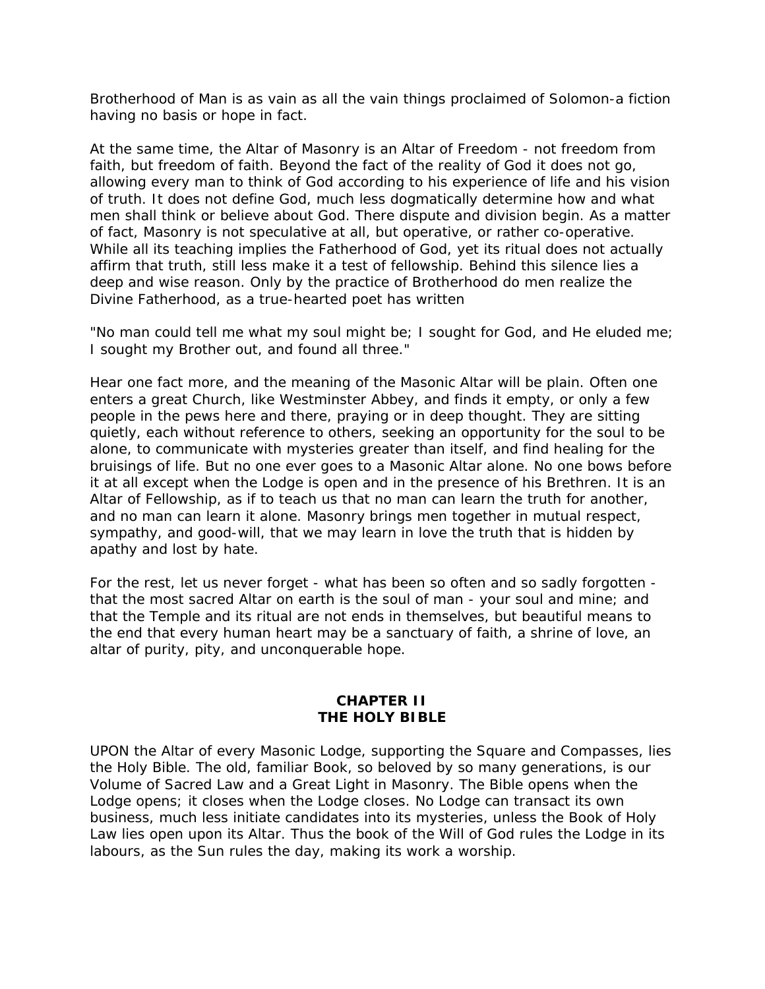Brotherhood of Man is as vain as all the vain things proclaimed of Solomon-a fiction having no basis or hope in fact.

At the same time, the Altar of Masonry is an Altar of Freedom - not freedom from faith, but freedom of faith. Beyond the fact of the reality of God it does not go, allowing every man to think of God according to his experience of life and his vision of truth. It does not define God, much less dogmatically determine how and what men shall think or believe about God. There dispute and division begin. As a matter of fact, Masonry is not speculative at all, but operative, or rather co-operative. While all its teaching implies the Fatherhood of God, yet its ritual does not actually affirm that truth, still less make it a test of fellowship. Behind this silence lies a deep and wise reason. Only by the practice of Brotherhood do men realize the Divine Fatherhood, as a true-hearted poet has written

"No man could tell me what my soul might be; I sought for God, and He eluded me; I sought my Brother out, and found all three."

Hear one fact more, and the meaning of the Masonic Altar will be plain. Often one enters a great Church, like Westminster Abbey, and finds it empty, or only a few people in the pews here and there, praying or in deep thought. They are sitting quietly, each without reference to others, seeking an opportunity for the soul to be alone, to communicate with mysteries greater than itself, and find healing for the bruisings of life. But no one ever goes to a Masonic Altar alone. No one bows before it at all except when the Lodge is open and in the presence of his Brethren. It is an Altar of Fellowship, as if to teach us that no man can learn the truth for another, and no man can learn it alone. Masonry brings men together in mutual respect, sympathy, and good-will, that we may learn in love the truth that is hidden by apathy and lost by hate.

For the rest, let us never forget - what has been so often and so sadly forgotten that the most sacred Altar on earth is the soul of man - your soul and mine; and that the Temple and its ritual are not ends in themselves, but beautiful means to the end that every human heart may be a sanctuary of faith, a shrine of love, an altar of purity, pity, and unconquerable hope.

## **CHAPTER II THE HOLY BIBLE**

UPON the Altar of every Masonic Lodge, supporting the Square and Compasses, lies the Holy Bible. The old, familiar Book, so beloved by so many generations, is our Volume of Sacred Law and a Great Light in Masonry. The Bible opens when the Lodge opens; it closes when the Lodge closes. No Lodge can transact its own business, much less initiate candidates into its mysteries, unless the Book of Holy Law lies open upon its Altar. Thus the book of the Will of God rules the Lodge in its labours, as the Sun rules the day, making its work a worship.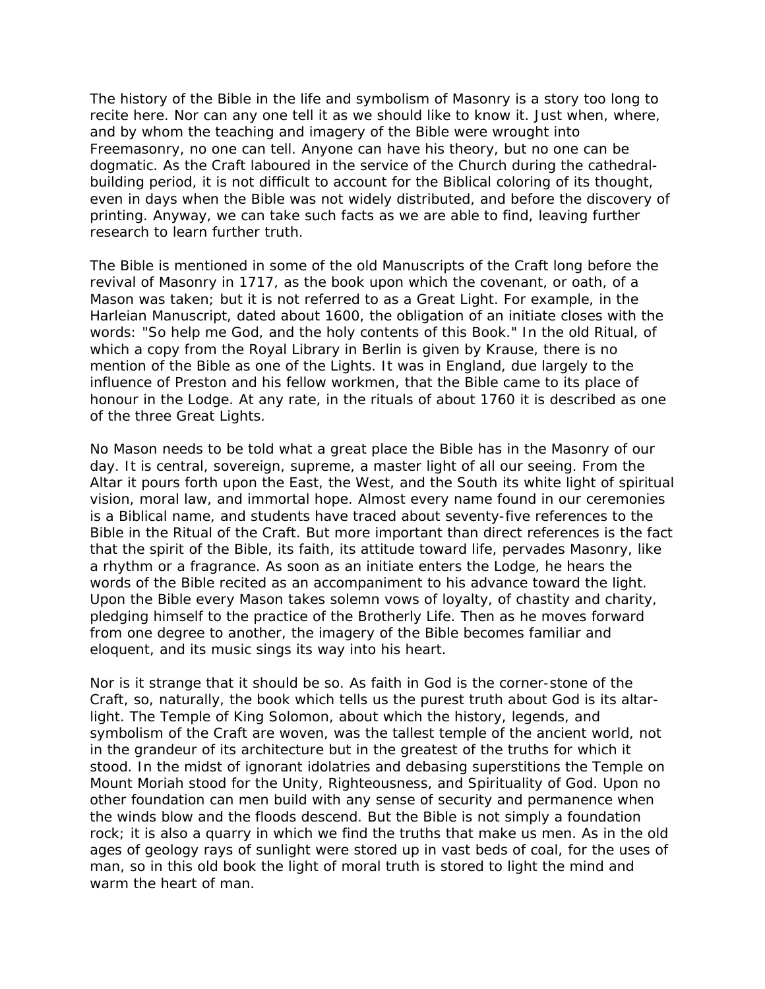The history of the Bible in the life and symbolism of Masonry is a story too long to recite here. Nor can any one tell it as we should like to know it. Just when, where, and by whom the teaching and imagery of the Bible were wrought into Freemasonry, no one can tell. Anyone can have his theory, but no one can be dogmatic. As the Craft laboured in the service of the Church during the cathedralbuilding period, it is not difficult to account for the Biblical coloring of its thought, even in days when the Bible was not widely distributed, and before the discovery of printing. Anyway, we can take such facts as we are able to find, leaving further research to learn further truth.

The Bible is mentioned in some of the old Manuscripts of the Craft long before the revival of Masonry in 1717, as the book upon which the covenant, or oath, of a Mason was taken; but it is not referred to as a Great Light. For example, in the Harleian Manuscript, dated about 1600, the obligation of an initiate closes with the words: "So help me God, and the holy contents of this Book." In the old Ritual, of which a copy from the Royal Library in Berlin is given by Krause, there is no mention of the Bible as one of the Lights. It was in England, due largely to the influence of Preston and his fellow workmen, that the Bible came to its place of honour in the Lodge. At any rate, in the rituals of about 1760 it is described as one of the three Great Lights.

No Mason needs to be told what a great place the Bible has in the Masonry of our day. It is central, sovereign, supreme, a master light of all our seeing. From the Altar it pours forth upon the East, the West, and the South its white light of spiritual vision, moral law, and immortal hope. Almost every name found in our ceremonies is a Biblical name, and students have traced about seventy-five references to the Bible in the Ritual of the Craft. But more important than direct references is the fact that the spirit of the Bible, its faith, its attitude toward life, pervades Masonry, like a rhythm or a fragrance. As soon as an initiate enters the Lodge, he hears the words of the Bible recited as an accompaniment to his advance toward the light. Upon the Bible every Mason takes solemn vows of loyalty, of chastity and charity, pledging himself to the practice of the Brotherly Life. Then as he moves forward from one degree to another, the imagery of the Bible becomes familiar and eloquent, and its music sings its way into his heart.

Nor is it strange that it should be so. As faith in God is the corner-stone of the Craft, so, naturally, the book which tells us the purest truth about God is its altarlight. The Temple of King Solomon, about which the history, legends, and symbolism of the Craft are woven, was the tallest temple of the ancient world, not in the grandeur of its architecture but in the greatest of the truths for which it stood. In the midst of ignorant idolatries and debasing superstitions the Temple on Mount Moriah stood for the Unity, Righteousness, and Spirituality of God. Upon no other foundation can men build with any sense of security and permanence when the winds blow and the floods descend. But the Bible is not simply a foundation rock; it is also a quarry in which we find the truths that make us men. As in the old ages of geology rays of sunlight were stored up in vast beds of coal, for the uses of man, so in this old book the light of moral truth is stored to light the mind and warm the heart of man.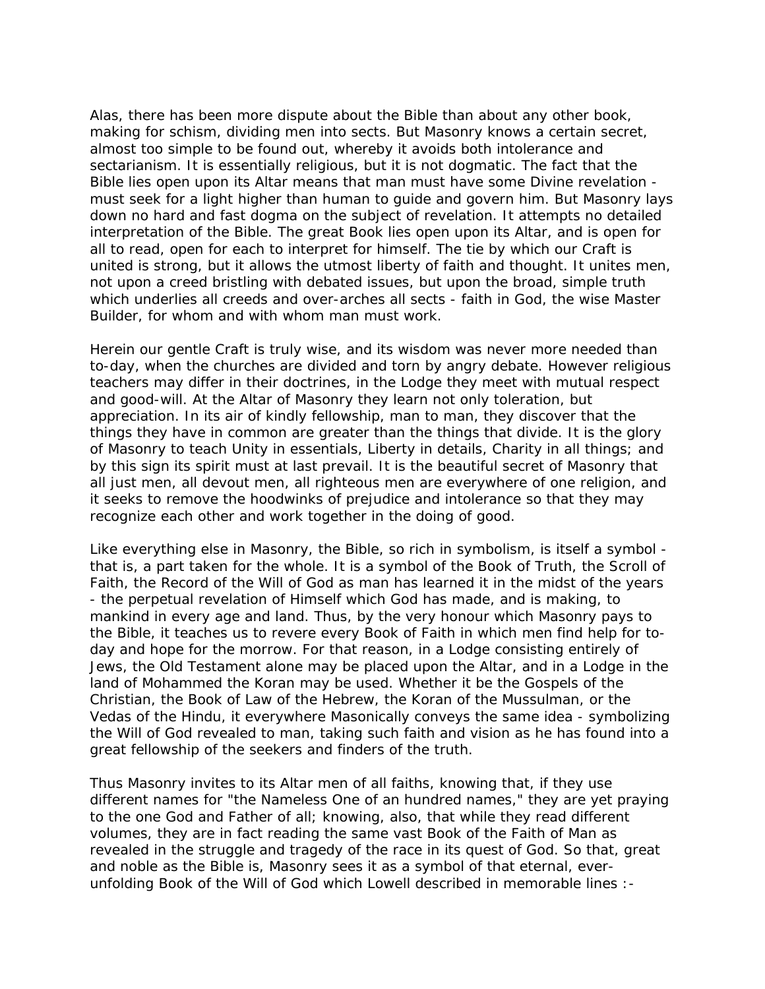Alas, there has been more dispute about the Bible than about any other book, making for schism, dividing men into sects. But Masonry knows a certain secret, almost too simple to be found out, whereby it avoids both intolerance and sectarianism. It is essentially religious, but it is not dogmatic. The fact that the Bible lies open upon its Altar means that man must have some Divine revelation must seek for a light higher than human to guide and govern him. But Masonry lays down no hard and fast dogma on the subject of revelation. It attempts no detailed interpretation of the Bible. The great Book lies open upon its Altar, and is open for all to read, open for each to interpret for himself. The tie by which our Craft is united is strong, but it allows the utmost liberty of faith and thought. It unites men, not upon a creed bristling with debated issues, but upon the broad, simple truth which underlies all creeds and over-arches all sects - faith in God, the wise Master Builder, for whom and with whom man must work.

Herein our gentle Craft is truly wise, and its wisdom was never more needed than to-day, when the churches are divided and torn by angry debate. However religious teachers may differ in their doctrines, in the Lodge they meet with mutual respect and good-will. At the Altar of Masonry they learn not only toleration, but appreciation. In its air of kindly fellowship, man to man, they discover that the things they have in common are greater than the things that divide. It is the glory of Masonry to teach Unity in essentials, Liberty in details, Charity in all things; and by this sign its spirit must at last prevail. It is the beautiful secret of Masonry that all just men, all devout men, all righteous men are everywhere of one religion, and it seeks to remove the hoodwinks of prejudice and intolerance so that they may recognize each other and work together in the doing of good.

Like everything else in Masonry, the Bible, so rich in symbolism, is itself a symbol that is, a part taken for the whole. It is a symbol of the Book of Truth, the Scroll of Faith, the Record of the Will of God as man has learned it in the midst of the years - the perpetual revelation of Himself which God has made, and is making, to mankind in every age and land. Thus, by the very honour which Masonry pays to the Bible, it teaches us to revere every Book of Faith in which men find help for today and hope for the morrow. For that reason, in a Lodge consisting entirely of Jews, the Old Testament alone may be placed upon the Altar, and in a Lodge in the land of Mohammed the Koran may be used. Whether it be the Gospels of the Christian, the Book of Law of the Hebrew, the Koran of the Mussulman, or the Vedas of the Hindu, it everywhere Masonically conveys the same idea - symbolizing the Will of God revealed to man, taking such faith and vision as he has found into a great fellowship of the seekers and finders of the truth.

Thus Masonry invites to its Altar men of all faiths, knowing that, if they use different names for "the Nameless One of an hundred names," they are yet praying to the one God and Father of all; knowing, also, that while they read different volumes, they are in fact reading the same vast Book of the Faith of Man as revealed in the struggle and tragedy of the race in its quest of God. So that, great and noble as the Bible is, Masonry sees it as a symbol of that eternal, everunfolding Book of the Will of God which Lowell described in memorable lines :-